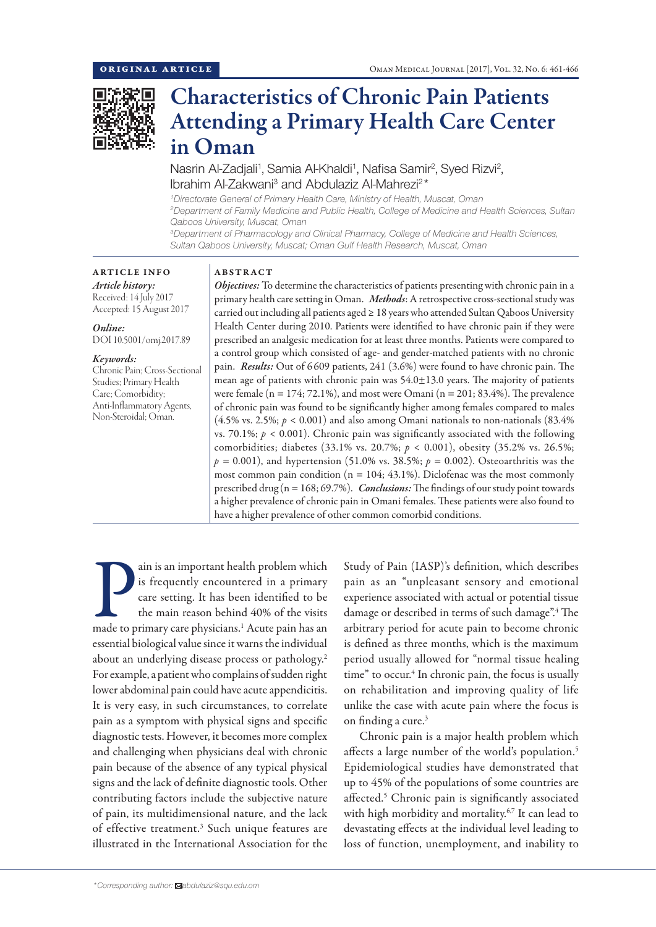

# Characteristics of Chronic Pain Patients Attending a Primary Health Care Center in Oman

Nasrin Al-Zadjali<sup>1</sup>, Samia Al-Khaldi<sup>1</sup>, Nafisa Samir<sup>2</sup>, Syed Rizvi<sup>2</sup>, Ibrahim Al-Zakwani<sup>3</sup> and Abdulaziz Al-Mahrezi<sup>2\*</sup>

*1 Directorate General of Primary Health Care, Ministry of Health, Muscat, Oman 2 Department of Family Medicine and Public Health, College of Medicine and Health Sciences, Sultan Qaboos University, Muscat, Oman 3 Department of Pharmacology and Clinical Pharmacy, College of Medicine and Health Sciences, Sultan Qaboos University, Muscat; Oman Gulf Health Research, Muscat, Oman*

# ARTICLE INFO

*Article history:* Received: 14 July 2017 Accepted: 15 August 2017

*Online:* DOI 10.5001/omj.2017.89

#### *Keywords:*

Chronic Pain; Cross-Sectional Studies; Primary Health Care; Comorbidity; Anti-Inflammatory Agents, Non-Steroidal; Oman.

# ABSTRACT

*Objectives:* To determine the characteristics of patients presenting with chronic pain in a primary health care setting in Oman. *Methods*: A retrospective cross-sectional study was carried out including all patients aged ≥ 18 years who attended Sultan Qaboos University Health Center during 2010. Patients were identified to have chronic pain if they were prescribed an analgesic medication for at least three months. Patients were compared to a control group which consisted of age- and gender-matched patients with no chronic pain. *Results:* Out of 6 609 patients, 241 (3.6%) were found to have chronic pain. The mean age of patients with chronic pain was  $54.0 \pm 13.0$  years. The majority of patients were female ( $n = 174$ ; 72.1%), and most were Omani ( $n = 201$ ; 83.4%). The prevalence of chronic pain was found to be significantly higher among females compared to males  $(4.5\% \text{ vs. } 2.5\%; p < 0.001)$  and also among Omani nationals to non-nationals  $(83.4\%$ vs. 70.1%;  $p < 0.001$ ). Chronic pain was significantly associated with the following comorbidities; diabetes (33.1% vs. 20.7%; *p* < 0.001), obesity (35.2% vs. 26.5%;  $p = 0.001$ ), and hypertension (51.0% vs. 38.5%;  $p = 0.002$ ). Osteoarthritis was the most common pain condition ( $n = 104$ ; 43.1%). Diclofenac was the most commonly prescribed drug (n = 168; 69.7%). *Conclusions:* The findings of our study point towards a higher prevalence of chronic pain in Omani females. These patients were also found to have a higher prevalence of other common comorbid conditions.

ain is an important health problem which<br>is frequently encountered in a primary<br>care setting. It has been identified to be<br>the main reason behind 40% of the visits<br>made to primary care physicians.<sup>1</sup> Acute pain has an ain is an important health problem which is frequently encountered in a primary care setting. It has been identified to be the main reason behind 40% of the visits essential biological value since it warns the individual about an underlying disease process or pathology.<sup>2</sup> For example, a patient who complains of sudden right lower abdominal pain could have acute appendicitis. It is very easy, in such circumstances, to correlate pain as a symptom with physical signs and specific diagnostic tests. However, it becomes more complex and challenging when physicians deal with chronic pain because of the absence of any typical physical signs and the lack of definite diagnostic tools. Other contributing factors include the subjective nature of pain, its multidimensional nature, and the lack of effective treatment.<sup>3</sup> Such unique features are illustrated in the International Association for the

Study of Pain (IASP)'s definition, which describes pain as an "unpleasant sensory and emotional experience associated with actual or potential tissue damage or described in terms of such damage".4 The arbitrary period for acute pain to become chronic is defined as three months, which is the maximum period usually allowed for "normal tissue healing time" to occur.<sup>4</sup> In chronic pain, the focus is usually on rehabilitation and improving quality of life unlike the case with acute pain where the focus is on finding a cure.<sup>3</sup>

Chronic pain is a major health problem which affects a large number of the world's population.<sup>5</sup> Epidemiological studies have demonstrated that up to 45% of the populations of some countries are affected.<sup>5</sup> Chronic pain is significantly associated with high morbidity and mortality.<sup>6,7</sup> It can lead to devastating effects at the individual level leading to loss of function, unemployment, and inability to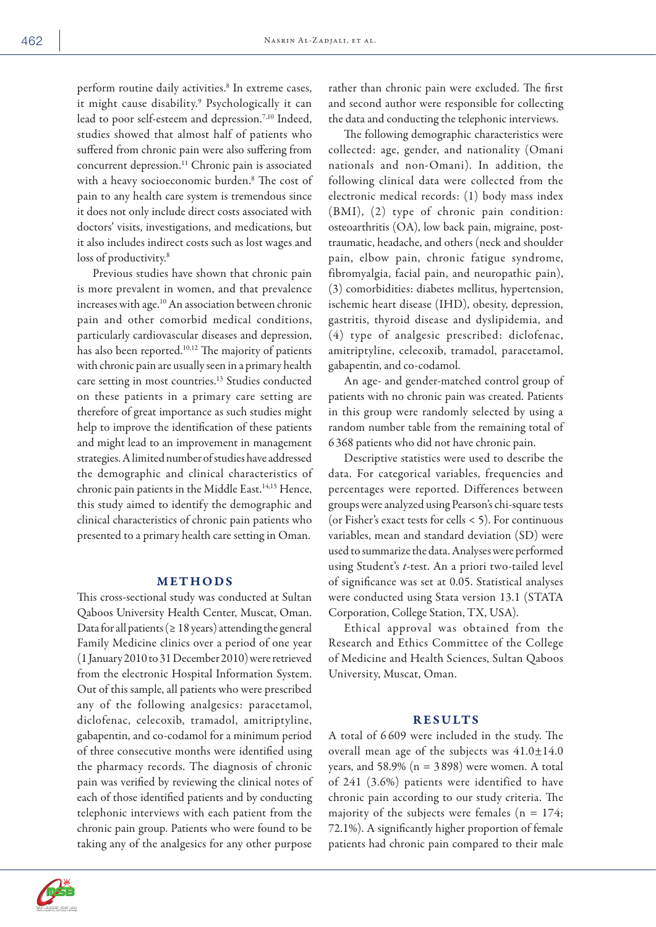perform routine daily activities.<sup>8</sup> In extreme cases, it might cause disability.9 Psychologically it can lead to poor self-esteem and depression.7,10 Indeed, studies showed that almost half of patients who suffered from chronic pain were also suffering from concurrent depression.<sup>11</sup> Chronic pain is associated with a heavy socioeconomic burden.8 The cost of pain to any health care system is tremendous since it does not only include direct costs associated with doctors' visits, investigations, and medications, but it also includes indirect costs such as lost wages and loss of productivity.<sup>8</sup>

Previous studies have shown that chronic pain is more prevalent in women, and that prevalence increases with age.<sup>10</sup> An association between chronic pain and other comorbid medical conditions, particularly cardiovascular diseases and depression, has also been reported.<sup>10,12</sup> The majority of patients with chronic pain are usually seen in a primary health care setting in most countries.13 Studies conducted on these patients in a primary care setting are therefore of great importance as such studies might help to improve the identification of these patients and might lead to an improvement in management strategies. A limited number of studies have addressed the demographic and clinical characteristics of chronic pain patients in the Middle East.<sup>14,15</sup> Hence, this study aimed to identify the demographic and clinical characteristics of chronic pain patients who presented to a primary health care setting in Oman.

## METHODS

This cross-sectional study was conducted at Sultan Qaboos University Health Center, Muscat, Oman. Data for all patients ( $\geq 18$  years) attending the general Family Medicine clinics over a period of one year (1 January 2010 to 31 December 2010) were retrieved from the electronic Hospital Information System. Out of this sample, all patients who were prescribed any of the following analgesics: paracetamol, diclofenac, celecoxib, tramadol, amitriptyline, gabapentin, and co-codamol for a minimum period of three consecutive months were identified using the pharmacy records. The diagnosis of chronic pain was verified by reviewing the clinical notes of each of those identified patients and by conducting telephonic interviews with each patient from the chronic pain group. Patients who were found to be taking any of the analgesics for any other purpose



The following demographic characteristics were collected: age, gender, and nationality (Omani nationals and non-Omani). In addition, the following clinical data were collected from the electronic medical records: (1) body mass index (BMI), (2) type of chronic pain condition: osteoarthritis (OA), low back pain, migraine, posttraumatic, headache, and others (neck and shoulder pain, elbow pain, chronic fatigue syndrome, fibromyalgia, facial pain, and neuropathic pain), (3) comorbidities: diabetes mellitus, hypertension, ischemic heart disease (IHD), obesity, depression, gastritis, thyroid disease and dyslipidemia, and (4) type of analgesic prescribed: diclofenac, amitriptyline, celecoxib, tramadol, paracetamol, gabapentin, and co-codamol.

An age- and gender-matched control group of patients with no chronic pain was created. Patients in this group were randomly selected by using a random number table from the remaining total of 6 368 patients who did not have chronic pain.

Descriptive statistics were used to describe the data. For categorical variables, frequencies and percentages were reported. Differences between groups were analyzed using Pearson's chi-square tests (or Fisher's exact tests for cells < 5). For continuous variables, mean and standard deviation (SD) were used to summarize the data. Analyses were performed using Student's *t*-test. An a priori two-tailed level of significance was set at 0.05. Statistical analyses were conducted using Stata version 13.1 (STATA Corporation, College Station, TX, USA).

Ethical approval was obtained from the Research and Ethics Committee of the College of Medicine and Health Sciences, Sultan Qaboos University, Muscat, Oman.

### RESULTS

A total of 6 609 were included in the study. The overall mean age of the subjects was  $41.0 \pm 14.0$ years, and  $58.9\%$  (n =  $3898$ ) were women. A total of 241 (3.6%) patients were identified to have chronic pain according to our study criteria. The majority of the subjects were females ( $n = 174$ ; 72.1%). A significantly higher proportion of female patients had chronic pain compared to their male

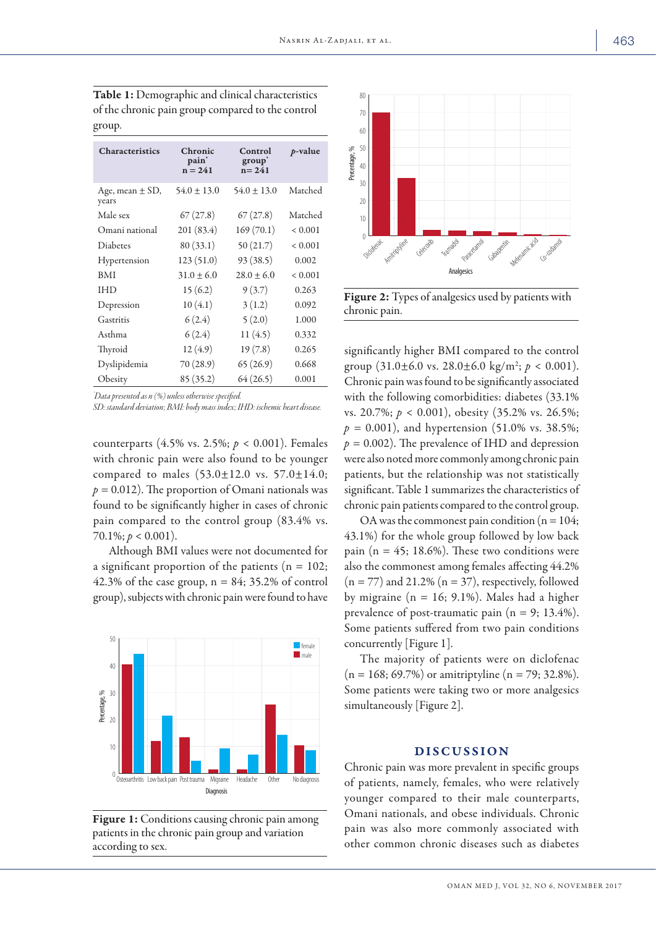| <b>Characteristics</b>       | Chronic<br>pain <sup>*</sup><br>$n = 241$ | Control<br>group <sup>*</sup><br>$n = 241$ | $p$ -value  |
|------------------------------|-------------------------------------------|--------------------------------------------|-------------|
| Age, mean $\pm$ SD,<br>years | $54.0 \pm 13.0$                           | $54.0 \pm 13.0$                            | Matched     |
| Male sex                     | 67(27.8)                                  | 67(27.8)                                   | Matched     |
| Omani national               | 201(83.4)                                 | 169(70.1)                                  | ${}< 0.001$ |
| <b>Diabetes</b>              | 80 (33.1)                                 | 50(21.7)                                   | ${}< 0.001$ |
| Hypertension                 | 123(51.0)                                 | 93 (38.5)                                  | 0.002       |
| <b>BMI</b>                   | $31.0 \pm 6.0$                            | $28.0 \pm 6.0$                             | ${}< 0.001$ |
| IHD                          | 15(6.2)                                   | 9(3.7)                                     | 0.263       |
| Depression                   | 10(4.1)                                   | 3(1.2)                                     | 0.092       |
| Gastritis                    | 6(2.4)                                    | 5(2.0)                                     | 1.000       |
| Asthma                       | 6(2.4)                                    | 11(4.5)                                    | 0.332       |
| Thyroid                      | 12 (4.9)                                  | 19(7.8)                                    | 0.265       |
| Dyslipidemia                 | 70 (28.9)                                 | 65(26.9)                                   | 0.668       |
| Obesity                      | 85(35.2)                                  | 64 (26.5)                                  | 0.001       |

Table 1: Demographic and clinical characteristics of the chronic pain group compared to the control group.

*\* Data presented as n (%) unless otherwise specified.* 

*SD: standard deviation; BMI: body mass index; IHD: ischemic heart disease.*

counterparts (4.5% vs. 2.5%; *p <* 0.001). Females with chronic pain were also found to be younger compared to males (53.0±12.0 vs. 57.0±14.0;  $p = 0.012$ ). The proportion of Omani nationals was found to be significantly higher in cases of chronic pain compared to the control group (83.4% vs.  $70.1\%$ ;  $p < 0.001$ ).

Although BMI values were not documented for a significant proportion of the patients ( $n = 102$ ; 42.3% of the case group,  $n = 84$ ; 35.2% of control group), subjects with chronic pain were found to have



Figure 1: Conditions causing chronic pain among patients in the chronic pain group and variation according to sex.



Figure 2: Types of analgesics used by patients with chronic pain.

significantly higher BMI compared to the control group  $(31.0 \pm 6.0 \text{ vs. } 28.0 \pm 6.0 \text{ kg/m}^2; p < 0.001).$ Chronic pain was found to be significantly associated with the following comorbidities: diabetes (33.1% vs. 20.7%; *p* < 0.001), obesity (35.2% vs. 26.5%;  $p = 0.001$ ), and hypertension (51.0% vs. 38.5%;  $p = 0.002$ ). The prevalence of IHD and depression were also noted more commonly among chronic pain patients, but the relationship was not statistically significant. Table 1 summarizes the characteristics of chronic pain patients compared to the control group.

OA was the commonest pain condition ( $n = 104$ ; 43.1%) for the whole group followed by low back pain ( $n = 45$ ; 18.6%). These two conditions were also the commonest among females affecting 44.2%  $(n = 77)$  and 21.2%  $(n = 37)$ , respectively, followed by migraine ( $n = 16$ ; 9.1%). Males had a higher prevalence of post-traumatic pain  $(n = 9; 13.4\%).$ Some patients suffered from two pain conditions concurrently [Figure 1].

The majority of patients were on diclofenac  $(n = 168; 69.7%)$  or amitriptyline  $(n = 79; 32.8%).$ Some patients were taking two or more analgesics simultaneously [Figure 2].

#### DISCUSSION

Chronic pain was more prevalent in specific groups of patients, namely, females, who were relatively younger compared to their male counterparts, Omani nationals, and obese individuals. Chronic pain was also more commonly associated with other common chronic diseases such as diabetes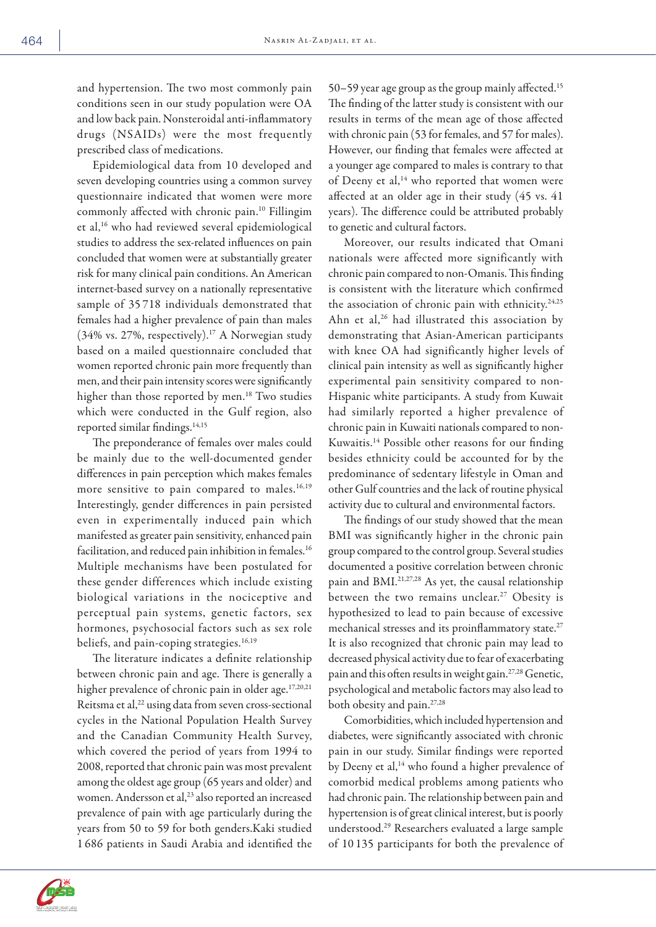and hypertension. The two most commonly pain conditions seen in our study population were OA and low back pain. Nonsteroidal anti-inflammatory drugs (NSAIDs) were the most frequently prescribed class of medications.

Epidemiological data from 10 developed and seven developing countries using a common survey questionnaire indicated that women were more commonly affected with chronic pain.10 Fillingim et al,16 who had reviewed several epidemiological studies to address the sex-related influences on pain concluded that women were at substantially greater risk for many clinical pain conditions. An American internet-based survey on a nationally representative sample of 35 718 individuals demonstrated that females had a higher prevalence of pain than males (34% vs. 27%, respectively).17 A Norwegian study based on a mailed questionnaire concluded that women reported chronic pain more frequently than men, and their pain intensity scores were significantly higher than those reported by men.<sup>18</sup> Two studies which were conducted in the Gulf region, also reported similar findings.<sup>14,15</sup>

The preponderance of females over males could be mainly due to the well-documented gender differences in pain perception which makes females more sensitive to pain compared to males.<sup>16,19</sup> Interestingly, gender differences in pain persisted even in experimentally induced pain which manifested as greater pain sensitivity, enhanced pain facilitation, and reduced pain inhibition in females.<sup>16</sup> Multiple mechanisms have been postulated for these gender differences which include existing biological variations in the nociceptive and perceptual pain systems, genetic factors, sex hormones, psychosocial factors such as sex role beliefs, and pain-coping strategies.<sup>16,19</sup>

The literature indicates a definite relationship between chronic pain and age. There is generally a higher prevalence of chronic pain in older age.<sup>17,20,21</sup> Reitsma et al,<sup>22</sup> using data from seven cross-sectional cycles in the National Population Health Survey and the Canadian Community Health Survey, which covered the period of years from 1994 to 2008, reported that chronic pain was most prevalent among the oldest age group (65 years and older) and women. Andersson et al,<sup>23</sup> also reported an increased prevalence of pain with age particularly during the years from 50 to 59 for both genders.Kaki studied 1 686 patients in Saudi Arabia and identified the 50–59 year age group as the group mainly affected.15 The finding of the latter study is consistent with our results in terms of the mean age of those affected with chronic pain (53 for females, and 57 for males). However, our finding that females were affected at a younger age compared to males is contrary to that of Deeny et al,<sup>14</sup> who reported that women were affected at an older age in their study (45 vs. 41 years). The difference could be attributed probably to genetic and cultural factors.

Moreover, our results indicated that Omani nationals were affected more significantly with chronic pain compared to non-Omanis. This finding is consistent with the literature which confirmed the association of chronic pain with ethnicity.<sup>24,25</sup> Ahn et al,<sup>26</sup> had illustrated this association by demonstrating that Asian-American participants with knee OA had significantly higher levels of clinical pain intensity as well as significantly higher experimental pain sensitivity compared to non-Hispanic white participants. A study from Kuwait had similarly reported a higher prevalence of chronic pain in Kuwaiti nationals compared to non-Kuwaitis.14 Possible other reasons for our finding besides ethnicity could be accounted for by the predominance of sedentary lifestyle in Oman and other Gulf countries and the lack of routine physical activity due to cultural and environmental factors.

The findings of our study showed that the mean BMI was significantly higher in the chronic pain group compared to the control group. Several studies documented a positive correlation between chronic pain and BMI.21,27,28 As yet, the causal relationship between the two remains unclear.<sup>27</sup> Obesity is hypothesized to lead to pain because of excessive mechanical stresses and its proinflammatory state.<sup>27</sup> It is also recognized that chronic pain may lead to decreased physical activity due to fear of exacerbating pain and this often results in weight gain.27,28 Genetic, psychological and metabolic factors may also lead to both obesity and pain.<sup>27,28</sup>

Comorbidities, which included hypertension and diabetes, were significantly associated with chronic pain in our study. Similar findings were reported by Deeny et al,<sup>14</sup> who found a higher prevalence of comorbid medical problems among patients who had chronic pain. The relationship between pain and hypertension is of great clinical interest, but is poorly understood.29 Researchers evaluated a large sample of 10 135 participants for both the prevalence of

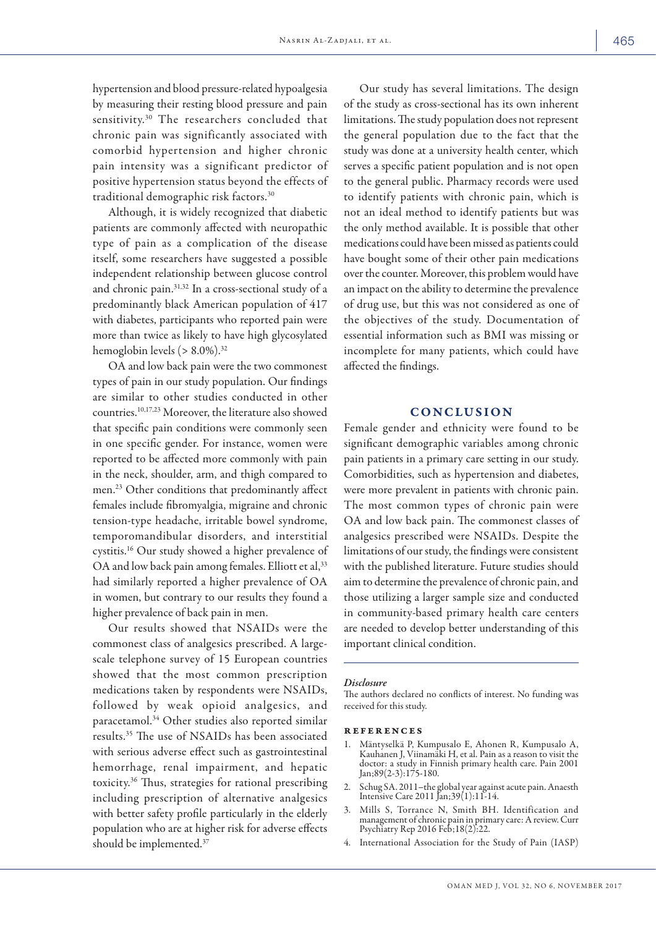hypertension and blood pressure-related hypoalgesia by measuring their resting blood pressure and pain sensitivity.30 The researchers concluded that chronic pain was significantly associated with comorbid hypertension and higher chronic pain intensity was a significant predictor of positive hypertension status beyond the effects of traditional demographic risk factors.30

Although, it is widely recognized that diabetic patients are commonly affected with neuropathic type of pain as a complication of the disease itself, some researchers have suggested a possible independent relationship between glucose control and chronic pain.31,32 In a cross-sectional study of a predominantly black American population of 417 with diabetes, participants who reported pain were more than twice as likely to have high glycosylated hemoglobin levels  $(> 8.0\%)$ .<sup>32</sup>

OA and low back pain were the two commonest types of pain in our study population. Our findings are similar to other studies conducted in other countries.10,17,23 Moreover, the literature also showed that specific pain conditions were commonly seen in one specific gender. For instance, women were reported to be affected more commonly with pain in the neck, shoulder, arm, and thigh compared to men.23 Other conditions that predominantly affect females include fibromyalgia, migraine and chronic tension-type headache, irritable bowel syndrome, temporomandibular disorders, and interstitial cystitis.16 Our study showed a higher prevalence of OA and low back pain among females. Elliott et al,<sup>33</sup> had similarly reported a higher prevalence of OA in women, but contrary to our results they found a higher prevalence of back pain in men.

Our results showed that NSAIDs were the commonest class of analgesics prescribed. A largescale telephone survey of 15 European countries showed that the most common prescription medications taken by respondents were NSAIDs, followed by weak opioid analgesics, and paracetamol.34 Other studies also reported similar results.35 The use of NSAIDs has been associated with serious adverse effect such as gastrointestinal hemorrhage, renal impairment, and hepatic toxicity.36 Thus, strategies for rational prescribing including prescription of alternative analgesics with better safety profile particularly in the elderly population who are at higher risk for adverse effects should be implemented.37

Our study has several limitations. The design of the study as cross-sectional has its own inherent limitations. The study population does not represent the general population due to the fact that the study was done at a university health center, which serves a specific patient population and is not open to the general public. Pharmacy records were used to identify patients with chronic pain, which is not an ideal method to identify patients but was the only method available. It is possible that other medications could have been missed as patients could have bought some of their other pain medications over the counter. Moreover, this problem would have an impact on the ability to determine the prevalence of drug use, but this was not considered as one of the objectives of the study. Documentation of essential information such as BMI was missing or incomplete for many patients, which could have affected the findings.

### **CONCLUSION**

Female gender and ethnicity were found to be significant demographic variables among chronic pain patients in a primary care setting in our study. Comorbidities, such as hypertension and diabetes, were more prevalent in patients with chronic pain. The most common types of chronic pain were OA and low back pain. The commonest classes of analgesics prescribed were NSAIDs. Despite the limitations of our study, the findings were consistent with the published literature. Future studies should aim to determine the prevalence of chronic pain, and those utilizing a larger sample size and conducted in community-based primary health care centers are needed to develop better understanding of this important clinical condition.

#### *Disclosure*

The authors declared no conflicts of interest. No funding was received for this study.

#### references

- 1. Mäntyselkä P, Kumpusalo E, Ahonen R, Kumpusalo A, Kauhanen J, Viinamäki H, et al. Pain as a reason to visit the doctor: a study in Finnish primary health care. Pain 2001 Jan;89(2-3):175-180.
- 2. Schug SA. 2011–the global year against acute pain. Anaesth Intensive Care 2011 Jan;39(1):11-14.
- 3. Mills S, Torrance N, Smith BH. Identification and management of chronic pain in primary care: A review. Curr Psychiatry Rep 2016 Feb;18(2):22.
- International Association for the Study of Pain (IASP)